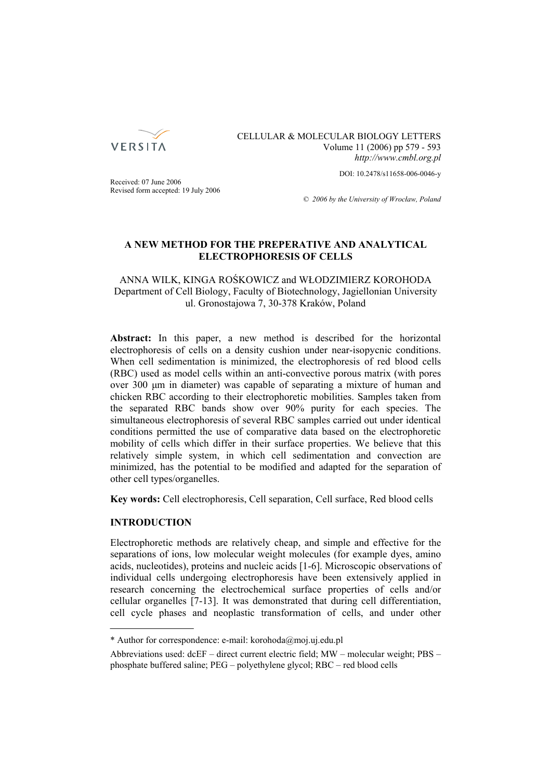

CELLULAR & MOLECULAR BIOLOGY LETTERS Volume 11 (2006) pp 579 - 593 *http://www.cmbl.org.pl*

DOI: 10.2478/s11658-006-0046-y

Received: 07 June 2006 Revised form accepted: 19 July 2006

*© 2006 by the University of Wrocław, Poland*

# **A NEW METHOD FOR THE PREPERATIVE AND ANALYTICAL ELECTROPHORESIS OF CELLS**

ANNA WILK, KINGA ROŚKOWICZ and WŁODZIMIERZ KOROHODA Department of Cell Biology, Faculty of Biotechnology, Jagiellonian University ul. Gronostajowa 7, 30-378 Kraków, Poland

**Abstract:** In this paper, a new method is described for the horizontal electrophoresis of cells on a density cushion under near-isopycnic conditions. When cell sedimentation is minimized, the electrophoresis of red blood cells (RBC) used as model cells within an anti-convective porous matrix (with pores over 300 μm in diameter) was capable of separating a mixture of human and chicken RBC according to their electrophoretic mobilities. Samples taken from the separated RBC bands show over 90% purity for each species. The simultaneous electrophoresis of several RBC samples carried out under identical conditions permitted the use of comparative data based on the electrophoretic mobility of cells which differ in their surface properties. We believe that this relatively simple system, in which cell sedimentation and convection are minimized, has the potential to be modified and adapted for the separation of other cell types/organelles.

**Key words:** Cell electrophoresis, Cell separation, Cell surface, Red blood cells

# **INTRODUCTION**

Electrophoretic methods are relatively cheap, and simple and effective for the separations of ions, low molecular weight molecules (for example dyes, amino acids, nucleotides), proteins and nucleic acids [1-6]. Microscopic observations of individual cells undergoing electrophoresis have been extensively applied in research concerning the electrochemical surface properties of cells and/or cellular organelles [7-13]. It was demonstrated that during cell differentiation, cell cycle phases and neoplastic transformation of cells, and under other

<sup>\*</sup> Author for correspondence: e-mail: korohoda@moj.uj.edu.pl

Abbreviations used: dcEF – direct current electric field; MW – molecular weight; PBS – phosphate buffered saline; PEG – polyethylene glycol; RBC – red blood cells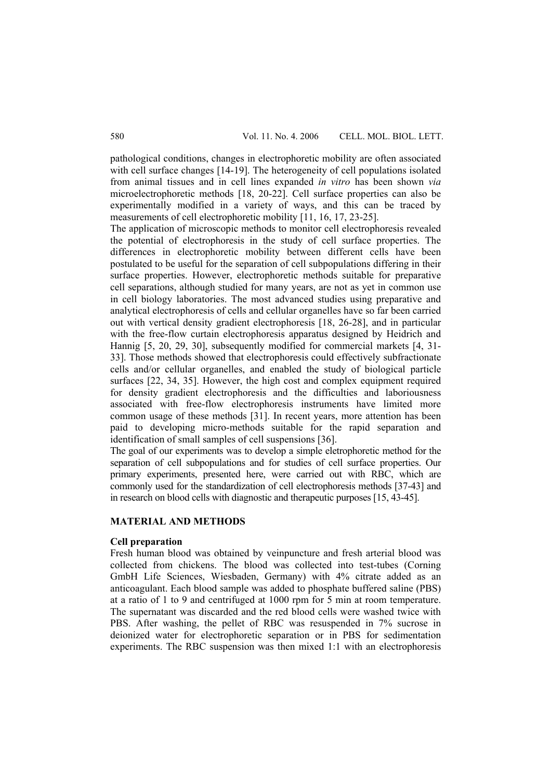pathological conditions, changes in electrophoretic mobility are often associated with cell surface changes [14-19]. The heterogeneity of cell populations isolated from animal tissues and in cell lines expanded *in vitro* has been shown *via* microelectrophoretic methods [18, 20-22]. Cell surface properties can also be experimentally modified in a variety of ways, and this can be traced by measurements of cell electrophoretic mobility [11, 16, 17, 23-25].

The application of microscopic methods to monitor cell electrophoresis revealed the potential of electrophoresis in the study of cell surface properties. The differences in electrophoretic mobility between different cells have been postulated to be useful for the separation of cell subpopulations differing in their surface properties. However, electrophoretic methods suitable for preparative cell separations, although studied for many years, are not as yet in common use in cell biology laboratories. The most advanced studies using preparative and analytical electrophoresis of cells and cellular organelles have so far been carried out with vertical density gradient electrophoresis [18, 26-28], and in particular with the free-flow curtain electrophoresis apparatus designed by Heidrich and Hannig [5, 20, 29, 30], subsequently modified for commercial markets [4, 31- 33]. Those methods showed that electrophoresis could effectively subfractionate cells and/or cellular organelles, and enabled the study of biological particle surfaces [22, 34, 35]. However, the high cost and complex equipment required for density gradient electrophoresis and the difficulties and laboriousness associated with free-flow electrophoresis instruments have limited more common usage of these methods [31]. In recent years, more attention has been paid to developing micro-methods suitable for the rapid separation and identification of small samples of cell suspensions [36].

The goal of our experiments was to develop a simple eletrophoretic method for the separation of cell subpopulations and for studies of cell surface properties. Our primary experiments, presented here, were carried out with RBC, which are commonly used for the standardization of cell electrophoresis methods [37-43] and in research on blood cells with diagnostic and therapeutic purposes [15, 43-45].

# **MATERIAL AND METHODS**

# **Cell preparation**

Fresh human blood was obtained by veinpuncture and fresh arterial blood was collected from chickens. The blood was collected into test-tubes (Corning GmbH Life Sciences, Wiesbaden, Germany) with 4% citrate added as an anticoagulant. Each blood sample was added to phosphate buffered saline (PBS) at a ratio of 1 to 9 and centrifuged at 1000 rpm for 5 min at room temperature. The supernatant was discarded and the red blood cells were washed twice with PBS. After washing, the pellet of RBC was resuspended in 7% sucrose in deionized water for electrophoretic separation or in PBS for sedimentation experiments. The RBC suspension was then mixed 1:1 with an electrophoresis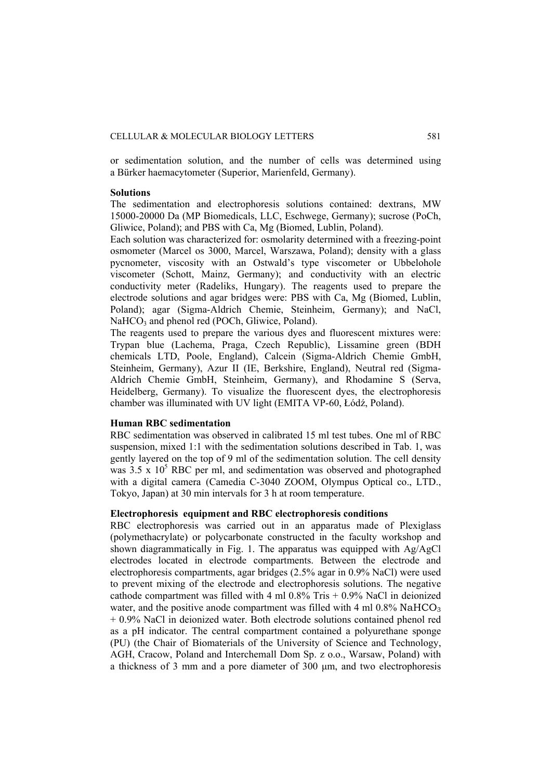or sedimentation solution, and the number of cells was determined using a Bürker haemacytometer (Superior, Marienfeld, Germany).

### **Solutions**

The sedimentation and electrophoresis solutions contained: dextrans, MW 15000-20000 Da (MP Biomedicals, LLC, Eschwege, Germany); sucrose (PoCh, Gliwice, Poland); and PBS with Ca, Mg (Biomed, Lublin, Poland).

Each solution was characterized for: osmolarity determined with a freezing-point osmometer (Marcel os 3000, Marcel, Warszawa, Poland); density with a glass pycnometer, viscosity with an Ostwald's type viscometer or Ubbelohole viscometer (Schott, Mainz, Germany); and conductivity with an electric conductivity meter (Radeliks, Hungary). The reagents used to prepare the electrode solutions and agar bridges were: PBS with Ca, Mg (Biomed, Lublin, Poland); agar (Sigma-Aldrich Chemie, Steinheim, Germany); and NaCl, NaHCO<sub>3</sub> and phenol red (POCh, Gliwice, Poland).

The reagents used to prepare the various dyes and fluorescent mixtures were: Trypan blue (Lachema, Praga, Czech Republic), Lissamine green (BDH chemicals LTD, Poole, England), Calcein (Sigma-Aldrich Chemie GmbH, Steinheim, Germany), Azur II (IE, Berkshire, England), Neutral red (Sigma-Aldrich Chemie GmbH, Steinheim, Germany), and Rhodamine S (Serva, Heidelberg, Germany). To visualize the fluorescent dyes, the electrophoresis chamber was illuminated with UV light (EMITA VP-60, Łódź, Poland).

# **Human RBC sedimentation**

RBC sedimentation was observed in calibrated 15 ml test tubes. One ml of RBC suspension, mixed 1:1 with the sedimentation solutions described in Tab. 1, was gently layered on the top of 9 ml of the sedimentation solution. The cell density was  $3.5 \times 10^5$  RBC per ml, and sedimentation was observed and photographed with a digital camera (Camedia C-3040 ZOOM, Olympus Optical co., LTD., Tokyo, Japan) at 30 min intervals for 3 h at room temperature.

# **Electrophoresis equipment and RBC electrophoresis conditions**

RBC electrophoresis was carried out in an apparatus made of Plexiglass (polymethacrylate) or polycarbonate constructed in the faculty workshop and shown diagrammatically in Fig. 1. The apparatus was equipped with Ag/AgCl electrodes located in electrode compartments. Between the electrode and electrophoresis compartments, agar bridges (2.5% agar in 0.9% NaCl) were used to prevent mixing of the electrode and electrophoresis solutions. The negative cathode compartment was filled with 4 ml  $0.8\%$  Tris + 0.9% NaCl in deionized water, and the positive anode compartment was filled with 4 ml  $0.8\%$  NaHCO<sub>3</sub> + 0.9% NaCl in deionized water. Both electrode solutions contained phenol red as a pH indicator. The central compartment contained a polyurethane sponge (PU) (the Chair of Biomaterials of the University of Science and Technology, AGH, Cracow, Poland and Interchemall Dom Sp. z o.o., Warsaw, Poland) with a thickness of 3 mm and a pore diameter of 300 μm, and two electrophoresis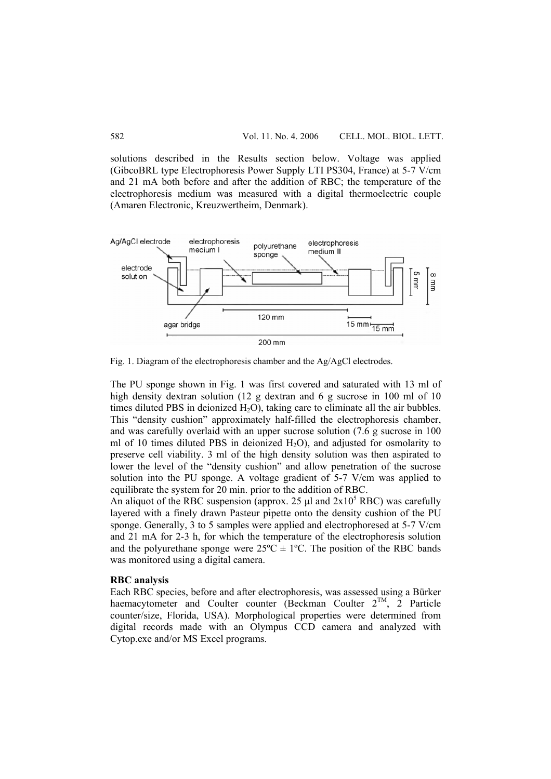solutions described in the Results section below. Voltage was applied (GibcoBRL type Electrophoresis Power Supply LTI PS304, France) at 5-7 V/cm and 21 mA both before and after the addition of RBC; the temperature of the electrophoresis medium was measured with a digital thermoelectric couple (Amaren Electronic, Kreuzwertheim, Denmark).



Fig. 1. Diagram of the electrophoresis chamber and the Ag/AgCl electrodes.

The PU sponge shown in Fig. 1 was first covered and saturated with 13 ml of high density dextran solution (12 g dextran and 6 g sucrose in 100 ml of 10 times diluted PBS in deionized  $H_2O$ , taking care to eliminate all the air bubbles. This "density cushion" approximately half-filled the electrophoresis chamber, and was carefully overlaid with an upper sucrose solution (7.6 g sucrose in 100 ml of 10 times diluted PBS in deionized  $H_2O$ ), and adjusted for osmolarity to preserve cell viability. 3 ml of the high density solution was then aspirated to lower the level of the "density cushion" and allow penetration of the sucrose solution into the PU sponge. A voltage gradient of 5-7 V/cm was applied to equilibrate the system for 20 min. prior to the addition of RBC.

An aliquot of the RBC suspension (approx. 25  $\mu$ l and 2x10<sup>5</sup> RBC) was carefully layered with a finely drawn Pasteur pipette onto the density cushion of the PU sponge. Generally, 3 to 5 samples were applied and electrophoresed at 5-7 V/cm and 21 mA for 2-3 h, for which the temperature of the electrophoresis solution and the polyurethane sponge were  $25^{\circ}C \pm 1^{\circ}C$ . The position of the RBC bands was monitored using a digital camera.

### **RBC analysis**

Each RBC species, before and after electrophoresis, was assessed using a Bürker haemacytometer and Coulter counter (Beckman Coulter  $2^{TM}$ ,  $2^{TM}$  Particle counter/size, Florida, USA). Morphological properties were determined from digital records made with an Olympus CCD camera and analyzed with Cytop.exe and/or MS Excel programs.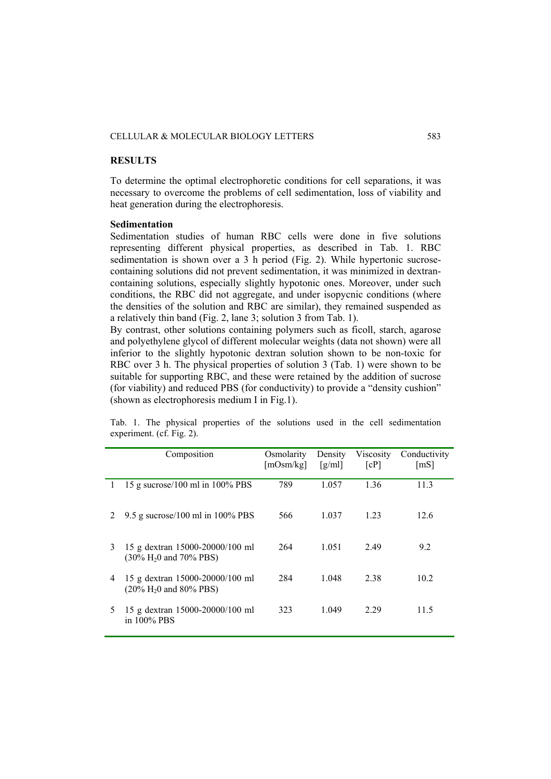### CELLULAR & MOLECULAR BIOLOGY LETTERS 583

# **RESULTS**

To determine the optimal electrophoretic conditions for cell separations, it was necessary to overcome the problems of cell sedimentation, loss of viability and heat generation during the electrophoresis.

### **Sedimentation**

Sedimentation studies of human RBC cells were done in five solutions representing different physical properties, as described in Tab. 1. RBC sedimentation is shown over a 3 h period (Fig. 2). While hypertonic sucrosecontaining solutions did not prevent sedimentation, it was minimized in dextrancontaining solutions, especially slightly hypotonic ones. Moreover, under such conditions, the RBC did not aggregate, and under isopycnic conditions (where the densities of the solution and RBC are similar), they remained suspended as a relatively thin band (Fig. 2, lane 3; solution 3 from Tab. 1).

By contrast, other solutions containing polymers such as ficoll, starch, agarose and polyethylene glycol of different molecular weights (data not shown) were all inferior to the slightly hypotonic dextran solution shown to be non-toxic for RBC over 3 h. The physical properties of solution 3 (Tab. 1) were shown to be suitable for supporting RBC, and these were retained by the addition of sucrose (for viability) and reduced PBS (for conductivity) to provide a "density cushion" (shown as electrophoresis medium I in Fig.1).

Tab. 1. The physical properties of the solutions used in the cell sedimentation experiment. (cf. Fig. 2).

|    | Composition                                                          | Osmolarity<br>[mOsm/kg] | Density<br>$\lceil \frac{g}{m} \rceil$ | <b>Viscosity</b><br>[cP] | Conductivity<br>[mS] |
|----|----------------------------------------------------------------------|-------------------------|----------------------------------------|--------------------------|----------------------|
| Ι. | 15 g sucrose/100 ml in $100\%$ PBS                                   | 789                     | 1.057                                  | 1.36                     | 11.3                 |
|    | 9.5 g sucrose/100 ml in $100\%$ PBS                                  | 566                     | 1.037                                  | 1.23                     | 12.6                 |
| 3  | 15 g dextran 15000-20000/100 ml<br>$(30\% \text{ H}_2)$ and 70% PBS) | 264                     | 1.051                                  | 2.49                     | 9.2                  |
| 4  | 15 g dextran 15000-20000/100 ml<br>$(20\% \text{ H}_2)$ and 80% PBS) | 284                     | 1.048                                  | 2.38                     | 10.2                 |
| 5  | 15 g dextran 15000-20000/100 ml<br>in 100% PBS                       | 323                     | 1.049                                  | 2.29                     | 11.5                 |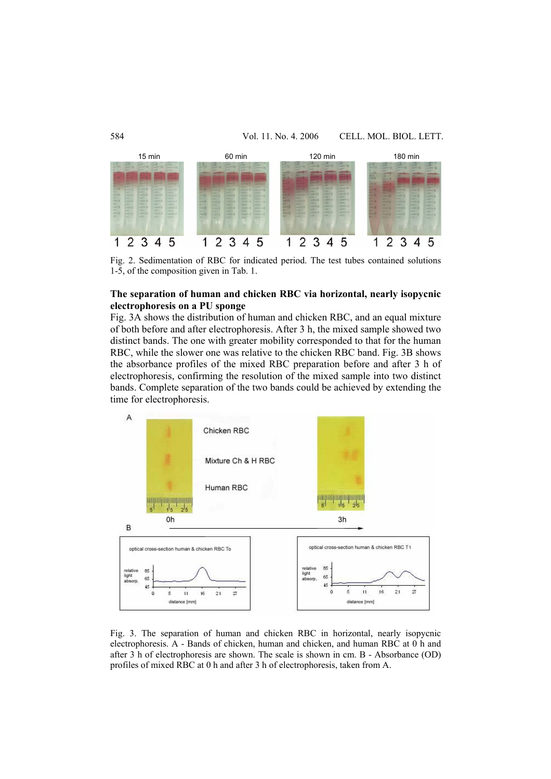

Fig. 2. Sedimentation of RBC for indicated period. The test tubes contained solutions 1-5, of the composition given in Tab. 1.

# **The separation of human and chicken RBC via horizontal, nearly isopycnic electrophoresis on a PU sponge**

Fig. 3A shows the distribution of human and chicken RBC, and an equal mixture of both before and after electrophoresis. After 3 h, the mixed sample showed two distinct bands. The one with greater mobility corresponded to that for the human RBC, while the slower one was relative to the chicken RBC band. Fig. 3B shows the absorbance profiles of the mixed RBC preparation before and after 3 h of electrophoresis, confirming the resolution of the mixed sample into two distinct bands. Complete separation of the two bands could be achieved by extending the time for electrophoresis.



Fig. 3. The separation of human and chicken RBC in horizontal, nearly isopycnic electrophoresis. A - Bands of chicken, human and chicken, and human RBC at 0 h and after 3 h of electrophoresis are shown. The scale is shown in cm. B - Absorbance (OD) profiles of mixed RBC at 0 h and after 3 h of electrophoresis, taken from A.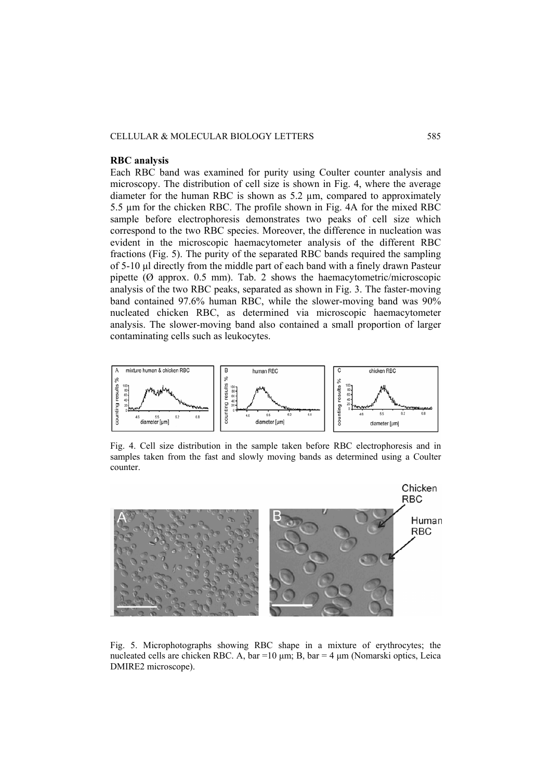### CELLULAR & MOLECULAR BIOLOGY LETTERS 585

### **RBC analysis**

Each RBC band was examined for purity using Coulter counter analysis and microscopy. The distribution of cell size is shown in Fig. 4, where the average diameter for the human RBC is shown as 5.2 µm, compared to approximately 5.5 µm for the chicken RBC. The profile shown in Fig. 4A for the mixed RBC sample before electrophoresis demonstrates two peaks of cell size which correspond to the two RBC species. Moreover, the difference in nucleation was evident in the microscopic haemacytometer analysis of the different RBC fractions (Fig. 5). The purity of the separated RBC bands required the sampling of 5-10 μl directly from the middle part of each band with a finely drawn Pasteur pipette ( $\varnothing$  approx. 0.5 mm). Tab. 2 shows the haemacytometric/microscopic analysis of the two RBC peaks, separated as shown in Fig. 3. The faster-moving band contained 97.6% human RBC, while the slower-moving band was 90% nucleated chicken RBC, as determined via microscopic haemacytometer analysis. The slower-moving band also contained a small proportion of larger contaminating cells such as leukocytes.



Fig. 4. Cell size distribution in the sample taken before RBC electrophoresis and in samples taken from the fast and slowly moving bands as determined using a Coulter counter.



Fig. 5. Microphotographs showing RBC shape in a mixture of erythrocytes; the nucleated cells are chicken RBC. A, bar =  $10 \mu m$ ; B, bar =  $4 \mu m$  (Nomarski optics, Leica DMIRE2 microscope).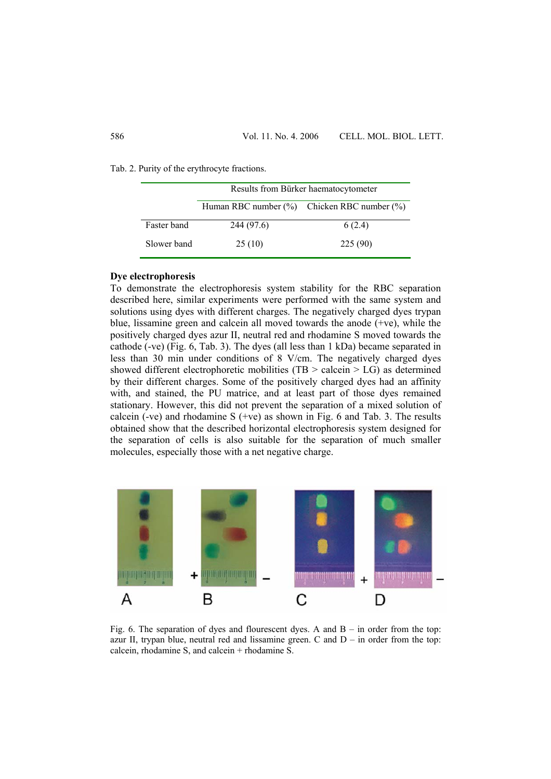Tab. 2. Purity of the erythrocyte fractions.

|             | Results from Bürker haematocytometer |                                                   |  |
|-------------|--------------------------------------|---------------------------------------------------|--|
|             |                                      | Human RBC number $(\%)$ Chicken RBC number $(\%)$ |  |
| Faster band | 244 (97.6)                           | 6(2.4)                                            |  |
| Slower band | 25(10)                               | 225(90)                                           |  |

## **Dye electrophoresis**

To demonstrate the electrophoresis system stability for the RBC separation described here, similar experiments were performed with the same system and solutions using dyes with different charges. The negatively charged dyes trypan blue, lissamine green and calcein all moved towards the anode (+ve), while the positively charged dyes azur II, neutral red and rhodamine S moved towards the cathode (-ve) (Fig. 6, Tab. 3). The dyes (all less than 1 kDa) became separated in less than 30 min under conditions of 8 V/cm. The negatively charged dyes showed different electrophoretic mobilities (TB  $>$  calcein  $>$  LG) as determined by their different charges. Some of the positively charged dyes had an affinity with, and stained, the PU matrice, and at least part of those dyes remained stationary. However, this did not prevent the separation of a mixed solution of calcein (-ve) and rhodamine  $S$  (+ve) as shown in Fig. 6 and Tab. 3. The results obtained show that the described horizontal electrophoresis system designed for the separation of cells is also suitable for the separation of much smaller molecules, especially those with a net negative charge.



Fig. 6. The separation of dyes and flourescent dyes. A and  $B - in$  order from the top: azur II, trypan blue, neutral red and lissamine green. C and  $D - in$  order from the top: calcein, rhodamine S, and calcein + rhodamine S.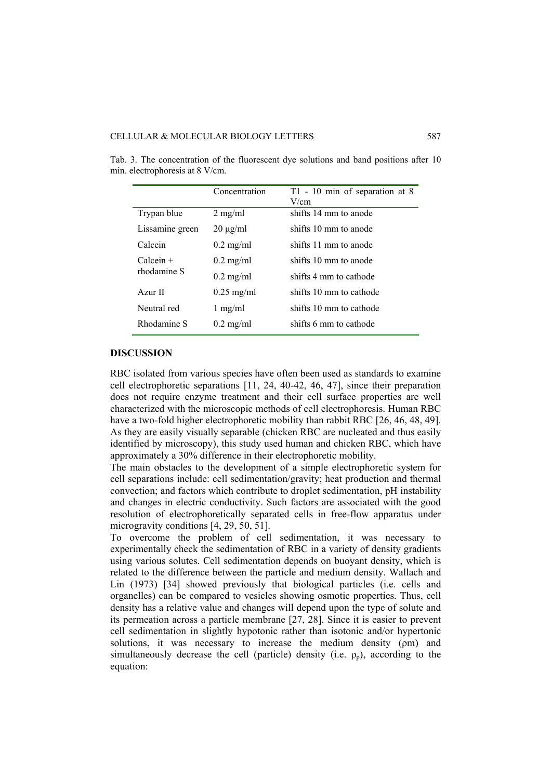|                 | Concentration        | T1 - 10 min of separation at 8<br>V/cm |
|-----------------|----------------------|----------------------------------------|
| Trypan blue     | $2 \text{ mg/ml}$    | shifts 14 mm to anode                  |
| Lissamine green | $20 \mu g/ml$        | shifts 10 mm to anode                  |
| Calcein         | $0.2 \text{ mg/ml}$  | shifts 11 mm to anode                  |
| $Calcen +$      | $0.2 \text{ mg/ml}$  | shifts 10 mm to anode                  |
| rhodamine S     | $0.2 \text{ mg/ml}$  | shifts 4 mm to cathode                 |
| Azur II         | $0.25 \text{ mg/ml}$ | shifts 10 mm to cathode                |
| Neutral red     | $1$ mg/ml            | shifts 10 mm to cathode                |
| Rhodamine S     | $0.2 \text{ mg/ml}$  | shifts 6 mm to cathode                 |

Tab. 3. The concentration of the fluorescent dye solutions and band positions after 10 min. electrophoresis at 8 V/cm.

### **DISCUSSION**

RBC isolated from various species have often been used as standards to examine cell electrophoretic separations [11, 24, 40-42, 46, 47], since their preparation does not require enzyme treatment and their cell surface properties are well characterized with the microscopic methods of cell electrophoresis. Human RBC have a two-fold higher electrophoretic mobility than rabbit RBC [26, 46, 48, 49]. As they are easily visually separable (chicken RBC are nucleated and thus easily identified by microscopy), this study used human and chicken RBC, which have approximately a 30% difference in their electrophoretic mobility.

The main obstacles to the development of a simple electrophoretic system for cell separations include: cell sedimentation/gravity; heat production and thermal convection; and factors which contribute to droplet sedimentation, pH instability and changes in electric conductivity. Such factors are associated with the good resolution of electrophoretically separated cells in free-flow apparatus under microgravity conditions [4, 29, 50, 51].

To overcome the problem of cell sedimentation, it was necessary to experimentally check the sedimentation of RBC in a variety of density gradients using various solutes. Cell sedimentation depends on buoyant density, which is related to the difference between the particle and medium density. Wallach and Lin (1973) [34] showed previously that biological particles (i.e. cells and organelles) can be compared to vesicles showing osmotic properties. Thus, cell density has a relative value and changes will depend upon the type of solute and its permeation across a particle membrane [27, 28]. Since it is easier to prevent cell sedimentation in slightly hypotonic rather than isotonic and/or hypertonic solutions, it was necessary to increase the medium density (*pm*) and simultaneously decrease the cell (particle) density (i.e.  $\rho_p$ ), according to the equation: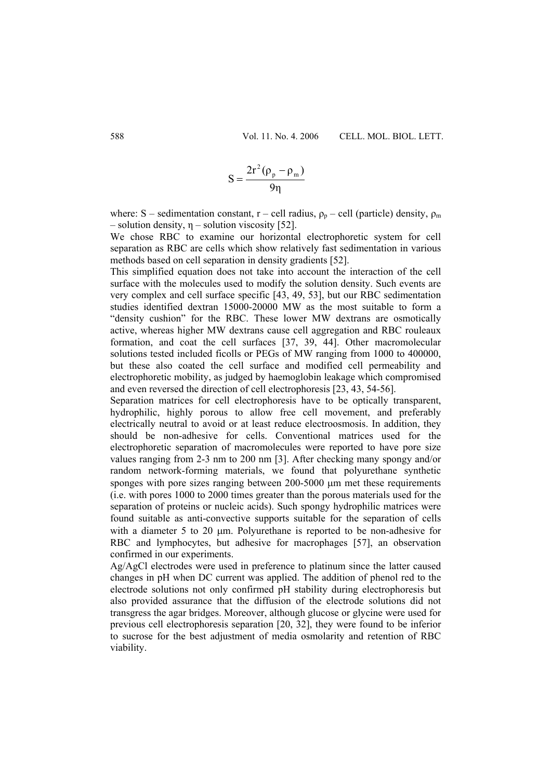$$
S = \frac{2r^2(\rho_p - \rho_m)}{9\eta}
$$

where: S – sedimentation constant, r – cell radius,  $\rho_p$  – cell (particle) density,  $\rho_m$ – solution density,  $\eta$  – solution viscosity [52].

We chose RBC to examine our horizontal electrophoretic system for cell separation as RBC are cells which show relatively fast sedimentation in various methods based on cell separation in density gradients [52].

This simplified equation does not take into account the interaction of the cell surface with the molecules used to modify the solution density. Such events are very complex and cell surface specific [43, 49, 53], but our RBC sedimentation studies identified dextran 15000-20000 MW as the most suitable to form a "density cushion" for the RBC. These lower MW dextrans are osmotically active, whereas higher MW dextrans cause cell aggregation and RBC rouleaux formation, and coat the cell surfaces [37, 39, 44]. Other macromolecular solutions tested included ficolls or PEGs of MW ranging from 1000 to 400000, but these also coated the cell surface and modified cell permeability and electrophoretic mobility, as judged by haemoglobin leakage which compromised and even reversed the direction of cell electrophoresis [23, 43, 54-56].

Separation matrices for cell electrophoresis have to be optically transparent, hydrophilic, highly porous to allow free cell movement, and preferably electrically neutral to avoid or at least reduce electroosmosis. In addition, they should be non-adhesive for cells. Conventional matrices used for the electrophoretic separation of macromolecules were reported to have pore size values ranging from 2-3 nm to 200 nm [3]. After checking many spongy and/or random network-forming materials, we found that polyurethane synthetic sponges with pore sizes ranging between 200-5000 μm met these requirements (i.e. with pores 1000 to 2000 times greater than the porous materials used for the separation of proteins or nucleic acids). Such spongy hydrophilic matrices were found suitable as anti-convective supports suitable for the separation of cells with a diameter 5 to 20 μm. Polyurethane is reported to be non-adhesive for RBC and lymphocytes, but adhesive for macrophages [57], an observation confirmed in our experiments.

Ag/AgCl electrodes were used in preference to platinum since the latter caused changes in pH when DC current was applied. The addition of phenol red to the electrode solutions not only confirmed pH stability during electrophoresis but also provided assurance that the diffusion of the electrode solutions did not transgress the agar bridges. Moreover, although glucose or glycine were used for previous cell electrophoresis separation [20, 32], they were found to be inferior to sucrose for the best adjustment of media osmolarity and retention of RBC viability.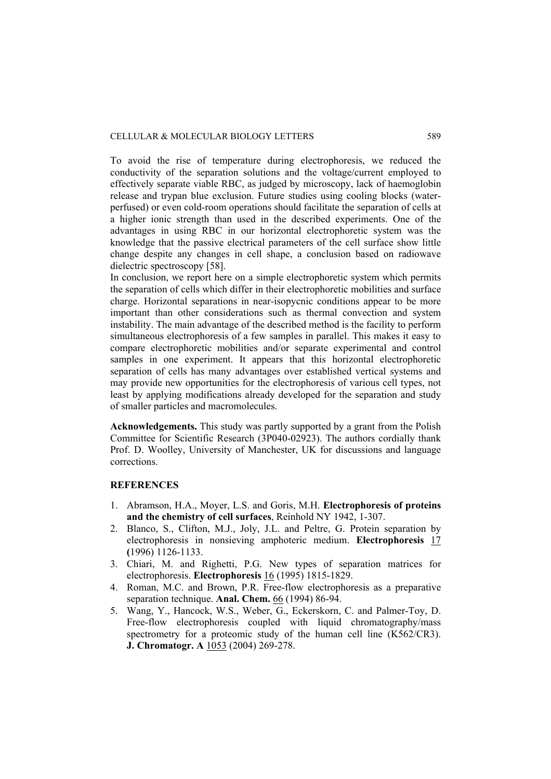To avoid the rise of temperature during electrophoresis, we reduced the conductivity of the separation solutions and the voltage/current employed to effectively separate viable RBC, as judged by microscopy, lack of haemoglobin release and trypan blue exclusion. Future studies using cooling blocks (waterperfused) or even cold-room operations should facilitate the separation of cells at a higher ionic strength than used in the described experiments. One of the advantages in using RBC in our horizontal electrophoretic system was the knowledge that the passive electrical parameters of the cell surface show little change despite any changes in cell shape, a conclusion based on radiowave dielectric spectroscopy [58].

In conclusion, we report here on a simple electrophoretic system which permits the separation of cells which differ in their electrophoretic mobilities and surface charge. Horizontal separations in near-isopycnic conditions appear to be more important than other considerations such as thermal convection and system instability. The main advantage of the described method is the facility to perform simultaneous electrophoresis of a few samples in parallel. This makes it easy to compare electrophoretic mobilities and/or separate experimental and control samples in one experiment. It appears that this horizontal electrophoretic separation of cells has many advantages over established vertical systems and may provide new opportunities for the electrophoresis of various cell types, not least by applying modifications already developed for the separation and study of smaller particles and macromolecules.

**Acknowledgements.** This study was partly supported by a grant from the Polish Committee for Scientific Research (3P040-02923). The authors cordially thank Prof. D. Woolley, University of Manchester, UK for discussions and language corrections.

### **REFERENCES**

- 1. Abramson, H.A., Moyer, L.S. and Goris, M.H. **Electrophoresis of proteins and the chemistry of cell surfaces**, Reinhold NY 1942, 1-307.
- 2. Blanco, S., Clifton, M.J., Joly, J.L. and Peltre, G. Protein separation by electrophoresis in nonsieving amphoteric medium. **Electrophoresis** 17 **(**1996) 1126-1133.
- 3. Chiari, M. and Righetti, P.G. New types of separation matrices for electrophoresis. **Electrophoresis** 16 (1995) 1815-1829.
- 4. Roman, M.C. and Brown, P.R. Free-flow electrophoresis as a preparative separation technique. **Anal. Chem.** 66 (1994) 86-94.
- 5. Wang, Y., Hancock, W.S., Weber, G., Eckerskorn, C. and Palmer-Toy, D. Free-flow electrophoresis coupled with liquid chromatography/mass spectrometry for a proteomic study of the human cell line (K562/CR3). **J. Chromatogr. A** 1053 (2004) 269-278.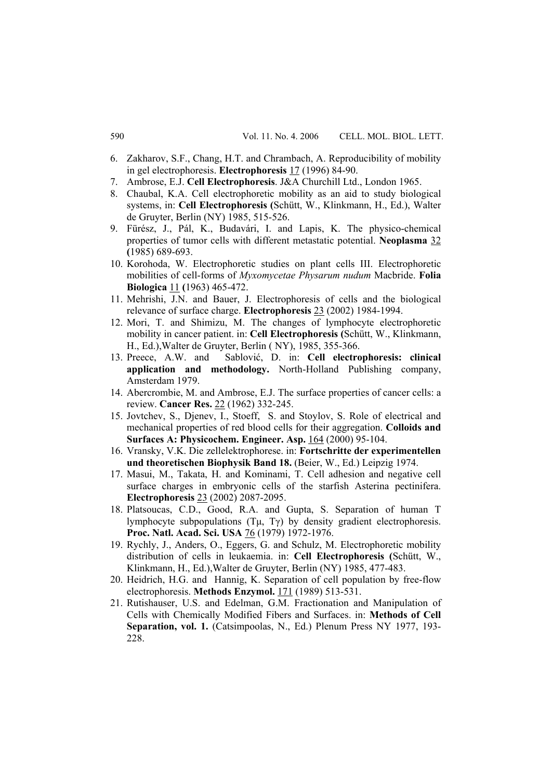- 6. Zakharov, S.F., Chang, H.T. and Chrambach, A. Reproducibility of mobility in gel electrophoresis. **Electrophoresis** 17 (1996) 84-90.
- 7. Ambrose, E.J. **Cell Electrophoresis**. J&A Churchill Ltd., London 1965.
- 8. Chaubal, K.A. Cell electrophoretic mobility as an aid to study biological systems, in: **Cell Electrophoresis (**Schütt, W., Klinkmann, H., Ed.), Walter de Gruyter, Berlin (NY) 1985, 515-526.
- 9. Fürész, J., Pál, K., Budavári, I. and Lapis, K. The physico-chemical properties of tumor cells with different metastatic potential. **Neoplasma** 32 **(**1985) 689-693.
- 10. Korohoda, W. Electrophoretic studies on plant cells III. Electrophoretic mobilities of cell-forms of *Myxomycetae Physarum nudum* Macbride. **Folia Biologica** 11 **(**1963) 465-472.
- 11. Mehrishi, J.N. and Bauer, J. Electrophoresis of cells and the biological relevance of surface charge. **Electrophoresis** 23 (2002) 1984-1994.
- 12. Mori, T. and Shimizu, M. The changes of lymphocyte electrophoretic mobility in cancer patient. in: **Cell Electrophoresis (**Schütt, W., Klinkmann, H., Ed.),Walter de Gruyter, Berlin ( NY), 1985, 355-366.
- 13. Preece, A.W. and Sablović, D. in: **Cell electrophoresis: clinical application and methodology.** North-Holland Publishing company, Amsterdam 1979.
- 14. Abercrombie, M. and Ambrose, E.J. The surface properties of cancer cells: a review. **Cancer Res.** 22 (1962) 332-245.
- 15. Jovtchev, S., Djenev, I., Stoeff, S. and Stoylov, S. Role of electrical and mechanical properties of red blood cells for their aggregation. **Colloids and Surfaces A: Physicochem. Engineer. Asp.** 164 (2000) 95-104.
- 16. Vransky, V.K. Die zellelektrophorese. in: **Fortschritte der experimentellen und theoretischen Biophysik Band 18.** (Beier, W., Ed.) Leipzig 1974.
- 17. Masui, M., Takata, H. and Kominami, T. Cell adhesion and negative cell surface charges in embryonic cells of the starfish Asterina pectinifera. **Electrophoresis** 23 (2002) 2087-2095.
- 18. Platsoucas, C.D., Good, R.A. and Gupta, S. Separation of human T lymphocyte subpopulations  $(T\mu, T\gamma)$  by density gradient electrophoresis. **Proc. Natl. Acad. Sci. USA** 76 (1979) 1972-1976.
- 19. Rychly, J., Anders, O., Eggers, G. and Schulz, M. Electrophoretic mobility distribution of cells in leukaemia. in: **Cell Electrophoresis (**Schütt, W., Klinkmann, H., Ed.),Walter de Gruyter, Berlin (NY) 1985, 477-483.
- 20. Heidrich, H.G. and Hannig, K. Separation of cell population by free-flow electrophoresis. **Methods Enzymol.** 171 (1989) 513-531.
- 21. Rutishauser, U.S. and Edelman, G.M. Fractionation and Manipulation of Cells with Chemically Modified Fibers and Surfaces. in: **Methods of Cell**  Separation, vol. 1. (Catsimpoolas, N., Ed.) Plenum Press NY 1977, 193-228.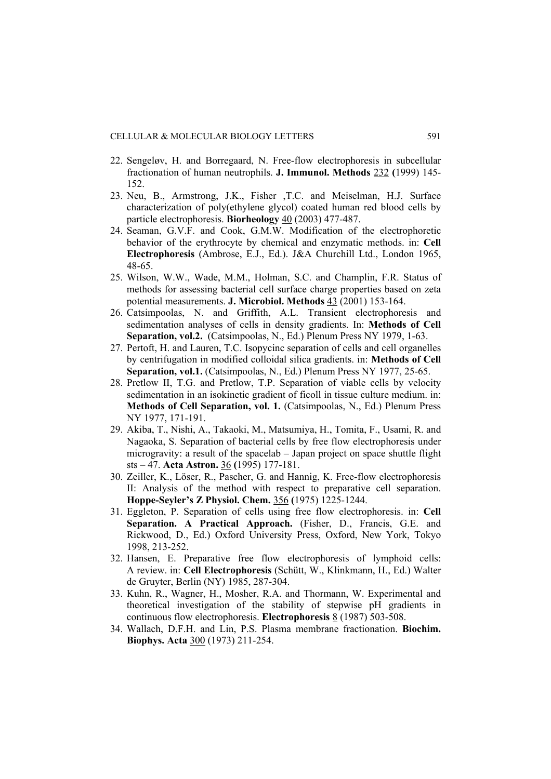- 22. Sengeløv, H. and Borregaard, N. Free-flow electrophoresis in subcellular fractionation of human neutrophils. **J. Immunol. Methods** 232 **(**1999) 145- 152.
- 23. Neu, B., Armstrong, J.K., Fisher ,T.C. and Meiselman, H.J. Surface characterization of poly(ethylene glycol) coated human red blood cells by particle electrophoresis. **Biorheology** 40 (2003) 477-487.
- 24. Seaman, G.V.F. and Cook, G.M.W. Modification of the electrophoretic behavior of the erythrocyte by chemical and enzymatic methods. in: **Cell Electrophoresis** (Ambrose, E.J., Ed.). J&A Churchill Ltd., London 1965, 48-65.
- 25. Wilson, W.W., Wade, M.M., Holman, S.C. and Champlin, F.R. Status of methods for assessing bacterial cell surface charge properties based on zeta potential measurements. **J. Microbiol. Methods** 43 (2001) 153-164.
- 26. Catsimpoolas, N. and Griffith, A.L. Transient electrophoresis and sedimentation analyses of cells in density gradients. In: **Methods of Cell Separation, vol.2.** (Catsimpoolas, N., Ed.) Plenum Press NY 1979, 1-63.
- 27. Pertoft, H. and Lauren, T.C. Isopycinc separation of cells and cell organelles by centrifugation in modified colloidal silica gradients. in: **Methods of Cell Separation, vol.1.** (Catsimpoolas, N., Ed.) Plenum Press NY 1977, 25-65.
- 28. Pretlow II, T.G. and Pretlow, T.P. Separation of viable cells by velocity sedimentation in an isokinetic gradient of ficoll in tissue culture medium. in: **Methods of Cell Separation, vol. 1.** (Catsimpoolas, N., Ed.) Plenum Press NY 1977, 171-191.
- 29. Akiba, T., Nishi, A., Takaoki, M., Matsumiya, H., Tomita, F., Usami, R. and Nagaoka, S. Separation of bacterial cells by free flow electrophoresis under microgravity: a result of the spacelab – Japan project on space shuttle flight sts – 47. **Acta Astron.** 36 **(**1995) 177-181.
- 30. Zeiller, K., Löser, R., Pascher, G. and Hannig, K. Free-flow electrophoresis II: Analysis of the method with respect to preparative cell separation. **Hoppe-Seyler's Z Physiol. Chem.** 356 **(**1975) 1225-1244.
- 31. Eggleton, P. Separation of cells using free flow electrophoresis. in: **Cell Separation. A Practical Approach.** (Fisher, D., Francis, G.E. and Rickwood, D., Ed.) Oxford University Press, Oxford, New York, Tokyo 1998, 213-252.
- 32. Hansen, E. Preparative free flow electrophoresis of lymphoid cells: A review. in: **Cell Electrophoresis** (Schütt, W., Klinkmann, H., Ed.) Walter de Gruyter, Berlin (NY) 1985, 287-304.
- 33. Kuhn, R., Wagner, H., Mosher, R.A. and Thormann, W. Experimental and theoretical investigation of the stability of stepwise pH gradients in continuous flow electrophoresis. **Electrophoresis** 8 (1987) 503-508.
- 34. Wallach, D.F.H. and Lin, P.S. Plasma membrane fractionation. **Biochim. Biophys. Acta** 300 (1973) 211-254.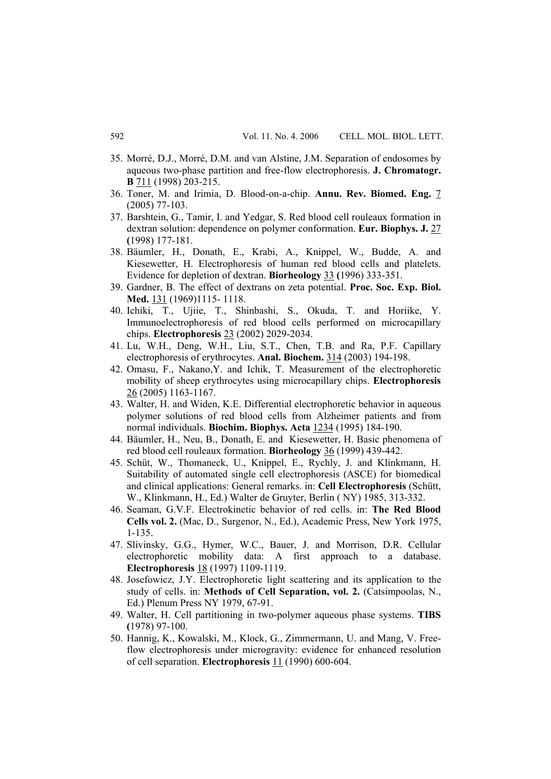- 35. Morré, D.J., Morré, D.M. and van Alstine, J.M. Separation of endosomes by aqueous two-phase partition and free-flow electrophoresis. **J. Chromatogr. B** 711 (1998) 203-215.
- 36. Toner, M. and Irimia, D. Blood-on-a-chip. **Annu. Rev. Biomed. Eng.** 7 (2005) 77-103.
- 37. Barshtein, G., Tamir, I. and Yedgar, S. Red blood cell rouleaux formation in dextran solution: dependence on polymer conformation. **Eur. Biophys. J.** 27 **(**1998) 177-181.
- 38. Bäumler, H., Donath, E., Krabi, A., Knippel, W., Budde, A. and Kiesewetter, H. Electrophoresis of human red blood cells and platelets. Evidence for depletion of dextran. **Biorheology** 33 **(**1996) 333-351.
- 39. Gardner, B. The effect of dextrans on zeta potential. **Proc. Soc. Exp. Biol. Med.** 131 (1969)1115- 1118.
- 40. Ichiki, T., Ujiie, T., Shinbashi, S., Okuda, T. and Horiike, Y. Immunoelectrophoresis of red blood cells performed on microcapillary chips. **Electrophoresis** 23 (2002) 2029-2034.
- 41. Lu, W.H., Deng, W.H., Liu, S.T., Chen, T.B. and Ra, P.F. Capillary electrophoresis of erythrocytes. **Anal. Biochem.** 314 (2003) 194-198.
- 42. Omasu, F., Nakano,Y. and Ichik, T. Measurement of the electrophoretic mobility of sheep erythrocytes using microcapillary chips. **Electrophoresis**  26 (2005) 1163-1167.
- 43. Walter, H. and Widen, K.E. Differential electrophoretic behavior in aqueous polymer solutions of red blood cells from Alzheimer patients and from normal individuals. **Biochim. Biophys. Acta** 1234 (1995) 184-190.
- 44. Bäumler, H., Neu, B., Donath, E. and Kiesewetter, H. Basic phenomena of red blood cell rouleaux formation. **Biorheology** 36 (1999) 439-442.
- 45. Schüt, W., Thomaneck, U., Knippel, E., Rychly, J. and Klinkmann, H. Suitability of automated single cell electrophoresis (ASCE) for biomedical and clinical applications: General remarks. in: **Cell Electrophoresis** (Schütt, W., Klinkmann, H., Ed.) Walter de Gruyter, Berlin ( NY) 1985, 313-332.
- 46. Seaman, G.V.F. Electrokinetic behavior of red cells. in: **The Red Blood Cells vol. 2.** (Mac, D., Surgenor, N., Ed.), Academic Press, New York 1975, 1-135.
- 47. Slivinsky, G.G., Hymer, W.C., Bauer, J. and Morrison, D.R. Cellular electrophoretic mobility data: A first approach to a database. **Electrophoresis** 18 (1997) 1109-1119.
- 48. Josefowicz, J.Y. Electrophoretic light scattering and its application to the study of cells. in: **Methods of Cell Separation, vol. 2.** (Catsimpoolas, N., Ed.) Plenum Press NY 1979, 67-91.
- 49. Walter, H. Cell partitioning in two-polymer aqueous phase systems. **TIBS (**1978) 97-100.
- 50. Hannig, K., Kowalski, M., Klock, G., Zimmermann, U. and Mang, V. Freeflow electrophoresis under microgravity: evidence for enhanced resolution of cell separation. **Electrophoresis** 11 (1990) 600-604.